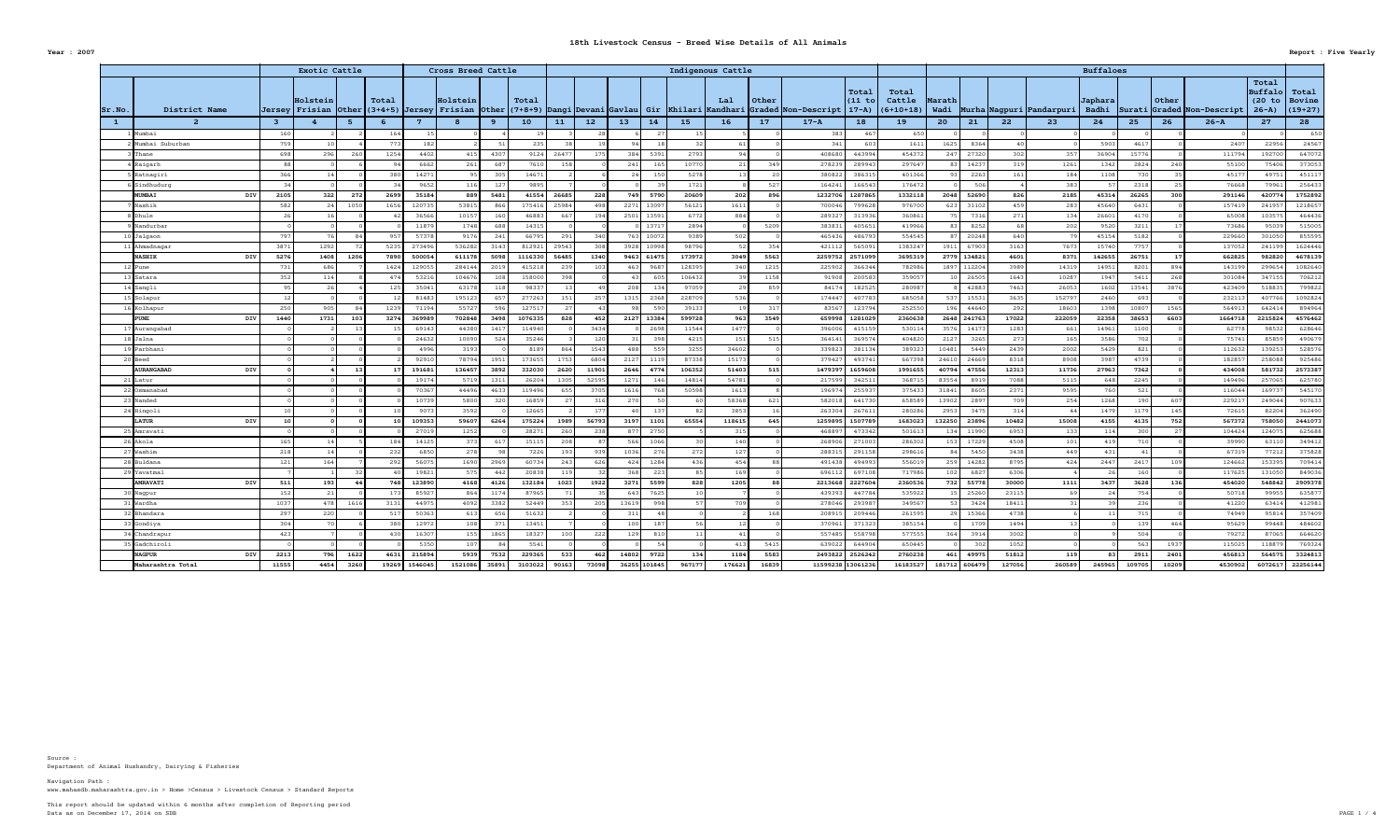Department of Animal Husbandry, Dairying & Fisheries Source :

|            |                   |            |                 | <b>Exotic Cattle</b> |      |       |        | Cross Breed Cattle |       |                 |       |                 |                       |                 | Indigenous Cattle |                 |                                                                                                                                                                         |                 |               |              |       |                                     | <b>Buffaloes</b> |                 |       |                                  |                                               |                               |
|------------|-------------------|------------|-----------------|----------------------|------|-------|--------|--------------------|-------|-----------------|-------|-----------------|-----------------------|-----------------|-------------------|-----------------|-------------------------------------------------------------------------------------------------------------------------------------------------------------------------|-----------------|---------------|--------------|-------|-------------------------------------|------------------|-----------------|-------|----------------------------------|-----------------------------------------------|-------------------------------|
| $ Sr.$ No. | District Name     |            |                 | Holstein             |      | Total |        | Holstein           |       | Total           |       |                 |                       |                 | Lal               | Other           | Total<br>$(11$ to<br> Jersey Frisian  Other (3+4+5)  Jersey  Frisian  Other (7+8+9)  Dangi Devani Gavlau  Gir  Khilari Kandhari Graded  Non-Descript   17-A)  (6+10+18) | Total<br>Cattle | <b>Marath</b> |              |       | Wadi   Murha   Nagpuri   Pandarpuri | Japhara          |                 | Other | Badhi Surati Graded Non-Descript | Total<br>Buffalo<br>(20 to Bovine<br>$26 - A$ | $\mathtt{Total}$<br>$(19+27)$ |
|            |                   |            | $\mathbf{3}$    |                      |      |       | - 7    |                    |       | 10 <sub>1</sub> | 11    | 12 <sub>2</sub> | 13 <sub>2</sub><br>14 | 15 <sub>1</sub> | <b>16</b>         | 17              | $17 - A$<br><b>18</b>                                                                                                                                                   | <b>19</b>       | 20            | $21$         | 22    | 23                                  | 24               | 25 <sub>2</sub> | 26    | $26 - A$                         | 27                                            | 28                            |
|            | Mumbai            |            | 160             |                      |      | 164   | 15     |                    |       |                 |       |                 |                       |                 |                   |                 | 383<br>467                                                                                                                                                              | 650             |               |              |       |                                     |                  |                 |       |                                  |                                               |                               |
|            | Mumbai Suburban   |            | 759             |                      |      | 773   | 182 l  |                    |       | 235             |       |                 |                       |                 |                   |                 | 341<br>603                                                                                                                                                              | 1611            | 1625          | 8364         |       |                                     | 5903             | 4617            |       | 2407                             | 22956                                         | 24567                         |
|            | Thane             |            | 698             | 296                  |      | 1254  | 4402   | 415                | 4307  | 9124            | 26477 | 175             | 384<br>5391           | 2793            |                   |                 | 408680<br>443994                                                                                                                                                        | 454372          | 247           | 27320        | 302   | 357                                 | 36904            | 15776           |       | 111794                           | 192700                                        | 647072                        |
|            | Raigarh           |            |                 |                      |      |       | 6662   | 261                | 687   | 7610            | 158   |                 | 241<br>165            | 10770           |                   | 34 <sup>c</sup> | 278239<br>289943                                                                                                                                                        | 297647          |               | 14231        | 319   | 1261                                | 1342             | 2824            | 240   | 55100                            | 75406                                         | 373053                        |
|            | 5 Ratnagiri       |            | 36              |                      |      | 380   | 14271  | Q5                 | 305   | 14671           |       |                 | 24 I<br>150           | 5278            |                   |                 | 380822<br>386315                                                                                                                                                        | 401366          |               | 2263         | 161   | 184                                 | 1108             | 730             |       | 45177                            | 4975                                          | 45111                         |
|            | SSindhudurg       |            |                 |                      |      |       | 9652   | 116                | 127   | 9895            |       |                 |                       | 1721            |                   |                 | 164241<br>166543                                                                                                                                                        | 176472          |               | 506          |       | 383                                 |                  | 2318            |       | 76668                            | 79961                                         | 256433                        |
|            | MUMBAI            | <b>DIV</b> | 2105            | 322                  | 272  | 2699  | 35184  | 889                | 5481  | 41554           | 26685 | 228             | 749  <br>5790         | 20609           | 202               | 896             | 1232706 1287865                                                                                                                                                         | 1332118         |               | 2048 52690   | 826   | 2185                                | 45314            | 26265           | 300   | 291146                           | 420774                                        | 1752892                       |
|            | Nashik            |            | 582             |                      | 1050 | 1656  | 120735 | 53815              | 866   | 175416          | 25984 |                 | 2271<br>13097         | 56121           | 1611              |                 | 700046<br>799628                                                                                                                                                        | 976700          | 6231          | 31102        | 459   | 283                                 | 45640            | 643             |       | 157419                           | 241951                                        | 121865                        |
|            | Dhule             |            |                 |                      |      |       | 36566  | 10157              |       | 46883           | 667   | 194             | 2501 13591            | 6772            | 884               |                 | 289327<br>313936                                                                                                                                                        | 360861          |               | 7316         | 271   | 134                                 | 26601            | 417             |       | 65008                            | 103575                                        | 464436                        |
|            | Nandurbar         |            |                 |                      |      |       | 11879  | 1748               | 688   | 14315           |       |                 | 1371                  | 2894            |                   | 5209            | 383831<br>405651                                                                                                                                                        | 419966          |               | 8252         |       | 202                                 | 9520             | 3211            |       | 73686                            | 95039                                         | 515005                        |
|            | 10 Jalgaon        |            | 797             |                      |      | 957   | 57378  | 9176               | 241   | 66795           | 291   | 340             | 763 10072             | 9389            | 502               |                 | 465436<br>486793                                                                                                                                                        | 554545          |               | 20248        | 640   |                                     | 45154            | 5182            |       | 229660                           | 301050                                        | 855595                        |
|            | 1 Ahmadnagar      |            | 387             | 1292                 |      | 5235  | 273496 | 536282             | 3143  | 812921          | 29543 |                 | 3928 10998            | 98796           |                   | 354             | 421112<br>565091                                                                                                                                                        | 1383247         | 1911          | 67903        | 3163  | 7673                                | 15740            | 7757            |       | 137052                           | 241199                                        | 1624446                       |
|            | <b>NASHIK</b>     | DIV        | 5276            | 1408                 | 1206 | 7890  | 500054 | 611178             | 5098  | 1116330         | 56485 | 1340            | 9463 61475            | 173972          | 3049              | 5563            | 2259752 2571099                                                                                                                                                         | 3695319         |               | 2779 134821  | 4601  | 8371                                | 142655           | 26751           |       | 662825                           | 982820                                        | 4678139                       |
|            | <b>Pune</b>       |            | 731             | 686                  |      | 1424  | 129055 | 284144             | 2019  | 415218          | 239   | 103             | 968                   | 128395          |                   | 1215            | 225902<br>366344                                                                                                                                                        | 782986          |               | 1897 112204  | 3989  | 14319                               | 14951            | 820             | 894   | 143199                           | 299654                                        | 1082640                       |
|            | 13 Satara         |            | -352            | 114                  |      | 474   | 53216  | 104676             | 108   | 158000          | 398   |                 |                       | 106432          |                   | 1158            | 91908<br>200583                                                                                                                                                         | 359057          |               | 26505        | 1643  | 10287                               | 1947             | 541             | 268   | 301084                           | 347155                                        | 706212                        |
|            | $14$ Sangli       |            |                 |                      |      | 125   | 35041  | 63178              | 118   | 98337           |       |                 | 208 L<br>134          | 97059           |                   | 859             | 84174<br>182525                                                                                                                                                         | 280987          |               | 42883        | 7463  | 26053                               | 1602             | 13541           | 3876  | 423409                           | 518835                                        | 799822                        |
|            | 15 Solapur        |            |                 |                      |      |       | 81483  | 195123             |       | 277263          | 151   | 257             | 2368<br>1315          | 228709          |                   |                 | 174447<br>407783                                                                                                                                                        | 685058          |               | 1553         | 3635  | 152797                              | 2460             | 69              |       | 232113                           | 407766                                        | 1092824                       |
|            | 6 Kolhapur        |            | -25             | 905                  |      | 1239  | 71194  | 55727              | 596   | 127517          | 27    |                 | 59                    | 39133           |                   |                 | 83567<br>123794                                                                                                                                                         | 252550          | 196           | 44640        | 292   | 18603                               | 1398             | 1080            | 1565  | 564913                           | 642414                                        | 894964                        |
|            | <b>PUNE</b>       | DIV        | 1440            | 1731                 | 103  | 3274  | 369989 | 702848             | 3498  | 1076335         | 828   | 452             | 2127 13384            | 599728          | 963               | 3549            | 659998 1281029                                                                                                                                                          | 2360638         |               | 2648 241763  | 17022 | 222059                              | 22358            | 38653           | 6603  | 1664718                          | 2215824                                       | 4576462                       |
|            | 7 Aurangabad      |            |                 |                      |      |       | 69143  | 44380              | 141   | 114940          |       | 3434            | 2698                  | 11544           | 1477              |                 | 396006<br>415159                                                                                                                                                        | 530114          | 3576          | 14173        | 1283  | 661                                 | 14961            | 110             |       | 62778                            | 98532                                         | 628646                        |
|            | 18 Jalna          |            |                 |                      |      |       | 24632  | 10090              | -524  | 35246           |       | 120             | 398                   | 4215            | 151               |                 | 364141<br>36957                                                                                                                                                         | 404820          | 2127          | 3265         | 273   | 165                                 | 3586             |                 |       | 75741                            | 85859                                         | 49067                         |
|            | 19 Parbhani       |            |                 |                      |      |       | 4996   | 3193               |       | 8189            | 864   | 1543            | 559<br>488            | 3255            | 34602             |                 | 339823<br>381134                                                                                                                                                        | 389323          | 10481         | 5449         | 2439  | 2002                                | 5429             | -821            |       | 112632                           | 139253                                        | 528576                        |
|            | 20 Beed           |            |                 |                      |      |       | 92910  | 78794              | 1951  | 173655          | 1753  | 6804            | 2127<br>1119          | 87338           | 15173             |                 | 379427<br>493741                                                                                                                                                        | 667398          |               | 24610 24669  | 8318  | 8908                                | 3987             | 4739            |       | 182857                           | 258088                                        | 925486                        |
|            | <b>AURANGABAD</b> | DIV        |                 |                      |      |       | 191681 | 136457             | 3892  | 332030          | 2620  | 11901           | 2646<br>4774          | 106352          | 51403             | 515             | 1479397<br>1659608                                                                                                                                                      | 1991655         |               | 40794 47556  | 12313 | 11736                               | 27963            | 7362            |       | 434008                           | 581732                                        | 2573387                       |
|            | 21 Latur          |            |                 |                      |      |       | 19174  | 5719               | 1311  | 26204           | 1305  | 52595           | 1271<br>146           | 14814           | 54781             |                 | 217599<br>342511                                                                                                                                                        | 368715          | 83554         | 8919         | 7088  | 5115                                | 648              | 2245            |       | 149496                           | 257065                                        | 625780                        |
|            | 22 Osmanabad      |            |                 |                      |      |       | 70367  | 44496              | 4633  | 119496          | 655   | 3705            | 1616<br>768           | 50598           | 1613              |                 | 196974<br>255937                                                                                                                                                        | 375433          | 31841         | 8605         | 2371  | 9595                                | 760 l            | -521            |       | 116044                           | 169737                                        | 54517                         |
|            | 23 Nanded         |            |                 |                      |      |       | 10739  | 5800               | 320   | 16859           |       | 316             | 270                   |                 | 58368             |                 | 582018<br>641730                                                                                                                                                        | 658589          |               | 13902 289    | 709   | 254                                 | 1268             |                 | 607   | 229217                           | 249044                                        | 907633                        |
|            | 24 Hingoli        |            |                 |                      |      |       | 9073   | 3592               |       | 12665           |       | 177             | $-137$                |                 | 3853              |                 | 263304<br>26761                                                                                                                                                         | 280286          | 2953          | - 347.       | 314   |                                     | 1479             | 117             | 145   | 72615                            | 82204                                         | 362490                        |
|            | <b>LATUR</b>      | DIV        |                 |                      |      |       | 109353 | 59607              | 6264  | 175224          | 1989  | 56793           | 1101<br>3197          | 65554           | 118615            | 645             | 1259895 1507789                                                                                                                                                         | 1683023         |               | 132250 23896 | 10482 | 15008                               | 4155             | 4135            | 752   | 567372                           | 758050                                        | 2441073                       |
|            | 25 Amravati       |            |                 |                      |      |       | 27019  | 1252               |       | 28271           | 260   | 238             | 2750<br>877           |                 | 315               |                 | 468897<br>473342                                                                                                                                                        | 501613          |               | 134 11990    | 6953  | 133                                 | 114              | 300             |       | 104424                           | 124075                                        | 625688                        |
|            | $26$ Akola        |            | 165             |                      |      | 184   | 14125  |                    | - 61  | 15115           | 208   |                 | 1066                  |                 | 140               |                 | 271003<br>268906                                                                                                                                                        | 286302          | 153           | 17229        | 4508  | 101                                 | 419              |                 |       | 39990                            | 63110                                         | 34941                         |
|            | $27$ Washim       |            | 218             |                      |      | 232   | 6850   | 278                |       | 7226            | 193   |                 | 276<br>1036           |                 | 272<br>127        |                 | 288315<br>291158                                                                                                                                                        | 298616          |               | 5450         | 3438  | 449                                 | 431              |                 |       | 67319                            | 77212                                         | 375828                        |
|            | 28 Buldana        |            | 121             | 164                  |      | 292   | 56075  | 1690               | 2969  | 60734           | 243   | 626             | 1284<br>424           |                 | 436<br>454        |                 | 491438<br>494993                                                                                                                                                        | 556019          |               | 259 14282    | 8795  | 424                                 | 2447             | 241'            | 109   | 124662                           | 153395                                        | 709414                        |
|            | 29 Yavatmal       |            |                 |                      |      |       | 19821  | 575                | 442   | 20838           | 119   |                 | 3681<br>223           |                 | 169               |                 | 696112<br>697108                                                                                                                                                        | 717986          |               | 102 682      | 6306  |                                     |                  |                 |       | 117625                           | 131050                                        | 849036                        |
|            | <b>AMRAVATI</b>   | DIV        | 511             | 193                  |      | 748   | 123890 | 4168               | 4126  | 132184          | 1023  | 1922            | 3271<br>5599          |                 | 828<br>1205       |                 | 2213668 2227604                                                                                                                                                         | 2360536         |               | 732 55778    | 30000 | 1111                                | 3437             | 3628            | 136   | 454020                           | 548842                                        | 2909378                       |
|            | 0 Nagpur          |            | 15              |                      |      | 173   | 85927  | 864                | 1174  | 87965           |       |                 | 7625<br>643           |                 |                   |                 | 439393<br>447784                                                                                                                                                        | 535922          |               | 25260        | 23115 | -69                                 |                  | 754             |       | 50718                            | 99955                                         | 635877                        |
|            | 31 Wardha         |            | 1037            | 478                  | 1616 | 3131  | 44975  | 4092               | 3382  | 52449           | 353   | 205             | 998<br>13619          |                 | 709               |                 | 278046<br>293987                                                                                                                                                        | 349567          |               | 3424         | 18411 | 31                                  |                  |                 |       | 41220                            | 63414                                         | 412981                        |
|            | 32 Bhandara       |            | 297             | 220                  |      | 517   | 50363  | 613                | 656   | 51632           |       |                 | 311                   |                 |                   |                 | 208915<br>209446                                                                                                                                                        | 261595          |               | 15366        | 4738  |                                     |                  | 715             |       | 74949                            | 95814                                         | 357409                        |
|            | 3]Gondiya         |            | 30 <sup>2</sup> |                      |      | 380   | 12972  | 108                | - 371 | 13451           |       |                 | 100<br>187            |                 |                   |                 | 370961<br>371323                                                                                                                                                        | 385154          |               | 1709         | 1494  |                                     |                  |                 | 464   | 95629                            | 99448                                         | 484602                        |
|            | 34 Chandrapur     |            | 423             |                      |      | 430   | 16307  | 155                | 1865  | 18327           | 100   | 222             | 129  <br>810          |                 |                   |                 | 557485<br>558798                                                                                                                                                        | 577555          | 364           | 3914         | 3002  |                                     |                  | 504             |       | 79272                            | 87065                                         | 664620                        |
|            | 35 Gadchiroli     |            |                 |                      |      |       | 5350   | 107                |       | 5541            |       |                 |                       |                 | 413               | 5415            | 639022<br>644904                                                                                                                                                        | 650445          |               | 302          | 1052  |                                     |                  | -563            | 1937  | 115025                           | 118879                                        | 769324                        |

|        |                                |            |       | <b>Exotic Cattle</b>       |      |       |                | Cross Breed Cattle                               |              |                 |              |                 |                 |              | Indigenous Cattle                               |                 |               |                                        |                        |                                |                |              |                 |                                  | <b>Buffaloes</b> |                  |       |                     |                                        |                                     |
|--------|--------------------------------|------------|-------|----------------------------|------|-------|----------------|--------------------------------------------------|--------------|-----------------|--------------|-----------------|-----------------|--------------|-------------------------------------------------|-----------------|---------------|----------------------------------------|------------------------|--------------------------------|----------------|--------------|-----------------|----------------------------------|------------------|------------------|-------|---------------------|----------------------------------------|-------------------------------------|
| Sr.No. | District Name                  |            |       | Holstein<br>Jersey Frisian |      | Total |                | Holstein<br>$ 0$ ther $ (3+4+5) $ Jersey Frisian |              | Total           |              |                 |                 |              | Other (7+8+9) Dangi Devani Gavlau  Gir  Khilari | Lal<br>Kandhari | $\vert$ Other | $ Grad $ Non-Descript $  17-A \rangle$ | <b>Total</b><br>(11 to | Total<br>Cattle<br>$(6+10+18)$ | Marath<br>Wadi |              |                 | Murha Nagpuri Pandarpuri   Badhi | Japhara          | Surati           | Other | Graded Non-Descript | Total<br>Buffalo<br>(20 to<br>$26 - A$ | Total<br><b>Bovine</b><br>$(19+27)$ |
|        |                                |            |       |                            |      |       |                |                                                  |              | 10 <sub>1</sub> | 11           | 12 <sub>1</sub> | 13 <sub>1</sub> | 14           | 15 <sub>1</sub>                                 | 16 <sup>1</sup> | 17            | $17 - A$                               | 18                     | 19                             | 20             | 21           | 22 <sub>o</sub> | 23                               | 24               | 25               | 26    | $26 - A$            | 27                                     | 28                                  |
|        | Mumbai                         |            | 160   |                            |      | 164   |                |                                                  |              |                 |              |                 |                 |              |                                                 |                 |               | 383                                    | 467                    | 650                            |                |              |                 |                                  |                  |                  |       |                     |                                        | 650                                 |
|        | Mumbai Suburban                |            | 759   |                            |      | 773   | 182            |                                                  |              | 235             |              |                 |                 |              |                                                 |                 |               | 341                                    | 603                    | 1611                           | 1625           | 836          |                 |                                  | 5903             | 4617             |       | 240                 | 22956                                  | 24567                               |
|        | Thane                          |            | 698   | 296                        |      | 1254  | 4402           | -415                                             | 4307         | 9124            | 2647         | 175             | 384             | 5391         | 2793                                            |                 |               | 408680                                 | 443994                 | 454372                         | 247            | 2732         | 302             | 357                              | 36904            | 15776            |       | 111794              | 19270                                  | 647072                              |
|        | 4 Raigarh                      |            |       |                            |      | 94    | 6662           | 261                                              | 687          | 7610            | 158          |                 | 241             | 165          | 10770                                           | 21              | 349           | 278239                                 | 289943                 | 297647                         |                | 1423         | 319             | 1261                             | 1342             | 2824             | 240   | 55100               | 7540                                   | 373053                              |
|        | 5 Ratnagiri                    |            | 366   |                            |      | 380   | 14271          |                                                  | 305          | 14671           |              |                 |                 |              | 5278                                            |                 |               | 380822                                 | 386315                 | 401366                         |                | -226         | 161             | 184                              | 1108             | 730 I            |       | 4517                | 4975                                   | 451117                              |
|        | $5 $ Sindhudurg                |            |       |                            |      | 34    | 9652           | 116                                              | 127          | 9895            |              |                 |                 |              | 1721                                            |                 | 527           | 164241                                 | 166543                 | 176472                         |                |              |                 | 383                              |                  | 2318             |       | 76668               | 79961                                  | 256433                              |
|        | <b>MUMBAI</b>                  | DIV        | 2105  | 322                        | 272  | 2699  | 35184          | 889                                              | 5481         | 41554           | 26685        | 228             | 749             | 5790         | 20609                                           | 202             | 896           | 1232706                                | 1287865                | 1332118                        | 2048           | 52690        | 826             | 2185                             | 45314            | 26265            | 300   | 291146              | 42077                                  | 1752892                             |
|        | Nashik                         |            | 582   |                            | 1050 | 1656  | 120735         | 53815                                            | 866          | 175416          | 25984        | 498             |                 | 2271 13097   | 56121                                           | 1611            |               | 700046                                 | 799628                 | 976700                         | 623            | 3110         | 459             | 283                              | 45640            | 643              |       | 157419              | 24195                                  | 1218657                             |
|        | $8$ Dhule                      |            |       |                            |      |       | 36566          | 10157                                            | 160          | 46883           | 66           | 194             | 2501            | 13591        | 6772                                            | 884             |               | 289327                                 | 313936                 | 360861                         |                | 731          | 271             | 134                              | 2660             | 4170             |       | 65008               | 10357                                  | 464436                              |
|        | Nandurbar                      |            |       |                            |      |       | 11879          | 1748                                             | 688          | 14315           |              |                 |                 | 13717        | 2894                                            |                 | 5209          | 383831                                 | 405651                 | 419966                         |                | 825          |                 | 202                              | 952              | 321              |       | 73686               | 9503                                   | 515005                              |
|        | 10 Jalgaon                     |            | 797   |                            |      | 957   | 57378          | 9176                                             | 241          | 66795           | 291          | 340             |                 | 763 10072    | 9389                                            | 502             |               | 465436                                 | 486793                 | 554545                         |                | 20248        | 640             | 79                               | 4515             | 5182             |       | 229660              | 301050                                 | 855595                              |
|        | 11 Ahmadnagar                  |            | 3871  | 1292                       |      | 5235  | 273496         | 536282                                           | 3143         | 812921          | 29543        | 308             |                 | 3928 10998   | 98796                                           |                 | 354           | 421112                                 | 565091                 | 138324                         | 1911           | 67903        | 3163            | 7673                             | 15740            | 7757             |       | 137052              | 24119                                  | 1624446                             |
|        | <b>NASHIK</b>                  | DIV        | 5276  | 1408                       | 1206 | 7890  | 500054         | 611178                                           | 5098         | 1116330         | 56485        | 1340            |                 | 9463   61475 | 173972                                          | 3049            | 5563          | 2259752                                | 2571099                | 369531                         |                | 2779 134821  | 4601            | 8371                             | 142655           | 26751            |       | 662825              | 982820                                 | 4678139                             |
|        | $12$ Pune                      |            | 731   | 686                        |      | 1424  | 129055         | 284144                                           | 2019         | 415218          | 239          | 10 <sup>°</sup> |                 | 9687         | 128395                                          | 340             | 1215          | 225902                                 | 366344                 | 782986                         |                | 1897 112204  | 3989            | 14319                            | 14951            | 8201             |       | 143199              | 29965                                  | 1082640                             |
|        | $13$ Satara                    |            | 352   | 114                        |      | 474   | 53216          | 104676                                           | 108          | 158000          | 398          |                 |                 |              | 106432                                          |                 | 1158          | 91908                                  | 200583                 | 359057                         |                | 26505        | 1643            | 10287                            | 1947             | 541              | 268   | 301084              | 34715                                  | 706212                              |
|        | $14$ Sangli                    |            |       |                            |      | 125   | 35041          | 63178                                            | 118          | 98337           |              |                 | 208             |              | 97059                                           |                 | 859           | 84174                                  | 182525                 | 280987                         |                | 4288         | 7463            | 26053                            | 1602             | 1354             | 387   | 423409              | 51883                                  | 799822                              |
|        | $15$ Solapur                   |            |       |                            |      |       | 81483          | 195123                                           | 657          | 277263          | 151          | 257             | 1315            | 2368         | 228709                                          | 536             |               | 174447                                 | 407783                 | 685058                         | 537            | 1553         | 3635            | 152797                           | 2460             | 693              |       | 232113              | 407766                                 | 1092824                             |
|        | 16 Kolhapur                    |            | 250   | 905                        |      | 1239  | 71194          | 55727                                            | 596          | 127517          |              |                 |                 |              | 39133                                           |                 | 317           | 83567                                  | 123794                 | 252550                         | 196            | 4464         | 292             | 18603                            | 1398             | 1080             | 1565  | 564913              | 64241                                  | 894964                              |
|        | <b>PUNE</b>                    | DIV        | 1440  | 1731                       |      | 3274  | 369989         | 702848                                           | 3498         | 1076335         | 828          | 452             | 2127            | 13384        | 599728                                          | 963             | 3549          | 659998                                 | 1281029                | 2360638                        |                | 2648 241763  | 17022           | 222059                           | 22358            | 38653            | 660   | 1664718             | 2215824                                | 4576462                             |
|        | 17 Aurangabad                  |            |       |                            |      |       | 69143          | 44380                                            | 1417         | 114940          |              | 3434            |                 | 2698         | 11544                                           | 1477            |               | 396006                                 | 415159                 | 53011                          | 3576           | 1417         | 1283            | 661                              | 1496             | 1100             |       | 62778               | 9853                                   | 628646                              |
|        | $18$ Jalna                     |            |       |                            |      |       | 24632          | 10090                                            | 524          | 35246           |              | 120             |                 | 559          | 4215                                            | 151             | 515           | 364141                                 | 369574                 | 40482                          | 2127           | 326          | 273             | 165                              | 3586             | 702              |       | 75741               | 85859                                  | 490679                              |
|        | 19 Parbhani                    |            |       |                            |      |       | 4996           | 3193                                             |              | 8189            | 864          | 1543            | 488             |              | 3255                                            | 34602           |               | 339823                                 | 381134                 | 389323                         | 10481          | 5449         | 2439            | 2002                             | 5429             | 821              |       | 112632              | 139253                                 | 528576                              |
|        | $20$ Beed<br><b>AURANGABAD</b> |            |       |                            |      |       | 92910          | 78794                                            | 1951         | 173655          | 1753         | 6804            | 2127            | 1119         | 87338                                           | 15173           |               | 379427                                 | 493741                 | 667398                         | 24610          | 24669        | 8318            | 8908                             | 3987             | 4739             |       | 18285               | 258088                                 | 925486                              |
|        |                                | DIV        |       |                            |      |       | 191681         | 136457                                           | 3892         | 332030          | 2620<br>1305 | 11901<br>52595  | 2646            | 4774         | 106352                                          | 51403<br>54781  | 515           | 217599                                 | 1479397 1659608        | 1991655                        | 40794 47556    |              | 12313<br>7088   | 11736                            | 27963            | 7362  <br>2245   |       | 434008              | 581732                                 | 2573387<br>625780                   |
|        | $21$ Latur<br>22 Osmanabad     |            |       |                            |      |       | 19174<br>70367 | 5719<br>44496                                    | 1311<br>4633 | 26204<br>119496 |              | 3705            | 1271<br>1616    | 146<br>768   | 14814<br>50598                                  |                 |               | 196974                                 | 342511<br>255937       | 368715                         | 83554          | 8919<br>8605 |                 | 5115<br>9595                     | 648<br>760       | 521              |       | 149496<br>116044    | 257065                                 | 545170                              |
|        | $23$ Nanded                    |            |       |                            |      |       | 10739          | 5800                                             | 320          | 16859           | 655          | 316             | 270             |              |                                                 | 1613<br>58368   | 621           | 582018                                 | 641730                 | 375433<br>658589               | 31841<br>13902 | -2891        | 2371<br>709     | 254                              | 1268             | 190              |       | 22921               | 169737                                 | 907633                              |
|        | 24 Hingoli                     |            |       |                            |      |       | 9073           | 3592                                             |              | 12665           |              | 177             |                 | 137          |                                                 | 3853            |               |                                        | 263304 267611          | 280286                         | 2953           | - 347        | 314             | 44                               | 1479             | 1179             |       | 72615               | 249044<br>82204                        | 362490                              |
|        | <b>LATUR</b>                   | DIV        | 10    |                            |      |       | 109353         | 59607                                            | 6264         | 175224          | 1989         | 56793           | 3197            | 1101         | 65554                                           | 118615          | 645           |                                        | 1259895 1507789        | 1683023                        | 132250 23896   |              | 10482           | 15008                            | 4155             | 4135             | 752   | 567372              | 758050                                 | 2441073                             |
|        | 25 Amravati                    |            |       |                            |      |       | 27019          | 1252                                             |              | 28271           | -260         | 238             | 877             | 2750         |                                                 | 315             |               | 468897                                 | 473342                 | 501613                         |                | 134 11990    | 6953            | 133                              | 114              | 300              |       | 104424              | 124075                                 | 625688                              |
|        | $26$ Akola                     |            | 165   |                            |      | 184   | 14125          | 373                                              | 617          | 15115           | 208          |                 | 566             | 1066         |                                                 | 140             |               | 268906                                 | 271003                 | 286302                         |                | 153 17229    | 4508            | 101                              | 419              | 710 L            |       | 39990               | 63110                                  | 349412                              |
|        | 27 Washim                      |            | 218   |                            |      | 232   | 6850           | 278                                              |              | 7226            | 193          | 939             | 1036            | 276          | 272                                             | 127             |               | 288315                                 | 291158                 | 298616                         | 84             | 5450         | 3438            | 449                              | 431              |                  |       | 67319               | 77212                                  | 375828                              |
|        | $28$ Buldana                   |            | 121   | 164                        |      | 292   | 56075          | 1690                                             | 2969         | 60734           | 243          | 626             | 424             | 1284         | 436                                             | 454             |               | 491438                                 | 494993                 | 556019                         | 259            | 14282        | 8795            | 424                              | 2447             | 2417             |       | 124662              | 153395                                 | 709414                              |
|        | 29 Yavatmal                    |            |       |                            |      |       | 19821          | 575                                              | 442          | 20838           | 119          |                 | 368 L           | 223          |                                                 | 169             |               | 696112                                 | 697108                 | 717986                         | 102            | 682          | 6306            |                                  |                  | 160 <sup>1</sup> |       | 117625              | 131050                                 | 849036                              |
|        | <b>AMRAVATI</b>                | DIV        | 511   | 193                        |      | 748   | 123890         | 4168                                             | 4126         | 132184          | 1023         | 1922            | 3271            | 5599         | 828                                             | 1205            |               |                                        | 2213668 2227604        | 2360536                        |                | 732 55778    | 30000           | 1111                             | 3437             | 3628             |       | 454020              | 548842                                 | 2909378                             |
|        | 30 Nagpur                      |            | 152   | 21                         |      | 173   | 85927          | 864                                              | 1174         | 87965           |              |                 | 643             | 7625         |                                                 |                 |               | 439393                                 | 447784                 | 535922                         |                | 2526         | 23115           | 69                               |                  | 754              |       | 50718               | 99955                                  | 635877                              |
|        | 31 Wardha                      |            | 1037  | 478                        | 1616 | 3131  | 44975          | 4092                                             | 3382         | 52449           | 353          | 205             | 13619           | 998          |                                                 | 709             |               | 278046                                 | 293987                 | 349567                         |                | 3424         | 18411           | 31                               |                  | 236 L            |       | 41220               | 63414                                  | 412981                              |
|        | 32 Bhandara                    |            | 297   | 220                        |      | 517   | 50363          | 613                                              | 656          | 51632           |              |                 | 311             |              |                                                 |                 | 168           | 208915                                 | 209446                 | 261595                         |                | 15366        | 4738            |                                  |                  | 715 L            |       | 74949               | 95814                                  | 357409                              |
|        | 33 Gondiya                     |            | 304   | 70                         |      | 380   | 12972          | 108                                              | 371          | 13451           |              |                 | 100             | 187          |                                                 |                 |               | 370961                                 | 371323                 | 385154                         |                | 1709         | 1494            | 13                               |                  | 139 l            | 46.   | 95629               | 99448                                  | 484602                              |
|        | 34 Chandrapur                  |            | 423   |                            |      | 430   | 16307          | 155                                              | 1865         | 18327           | 100          | 222             | 129             | 810          |                                                 | 41              |               | 557485                                 | 558798                 | 577555                         | 364            | 3914         | 3002            |                                  |                  | 504              |       | 79272               | 87065                                  | 664620                              |
|        | 35 Gadchiroli                  |            |       |                            |      |       | 5350           | 107                                              |              | 5541            |              |                 |                 |              |                                                 | 413             | 5415          | 639022                                 | 644904                 | 650445                         |                |              | 1052            |                                  |                  | 563              | 193   | 11502               | 118879                                 | 769324                              |
|        | <b>NAGPUR</b>                  | <b>DIV</b> | 2213  | 796                        | 1622 | 4631  | 215894         | 5939                                             | 7532         | 229365          | 533          | 462             | 14802           | 9722         | 134                                             | 1184            | 5583          |                                        | 2493822 2526242        | 2760238                        | 461            | 49975        | 51812           | 119                              |                  | 2911             | 2401  | 456813              | 564575                                 | 3324813                             |
|        | Maharashtra Total              |            | 11555 | 4454                       | 3260 | 19269 | 1546045        | 1521086                                          | 35891        | 3103022         | 90163        | 73098           | 36255   101845  |              | 967177                                          | 176621          | 16839         | 11599238 13061236                      |                        | 16183527                       | 181712 606479  |              | 127056          | 260589                           | 245965           | 109705           | 10209 | 4530902             | 6072617                                | 22256144                            |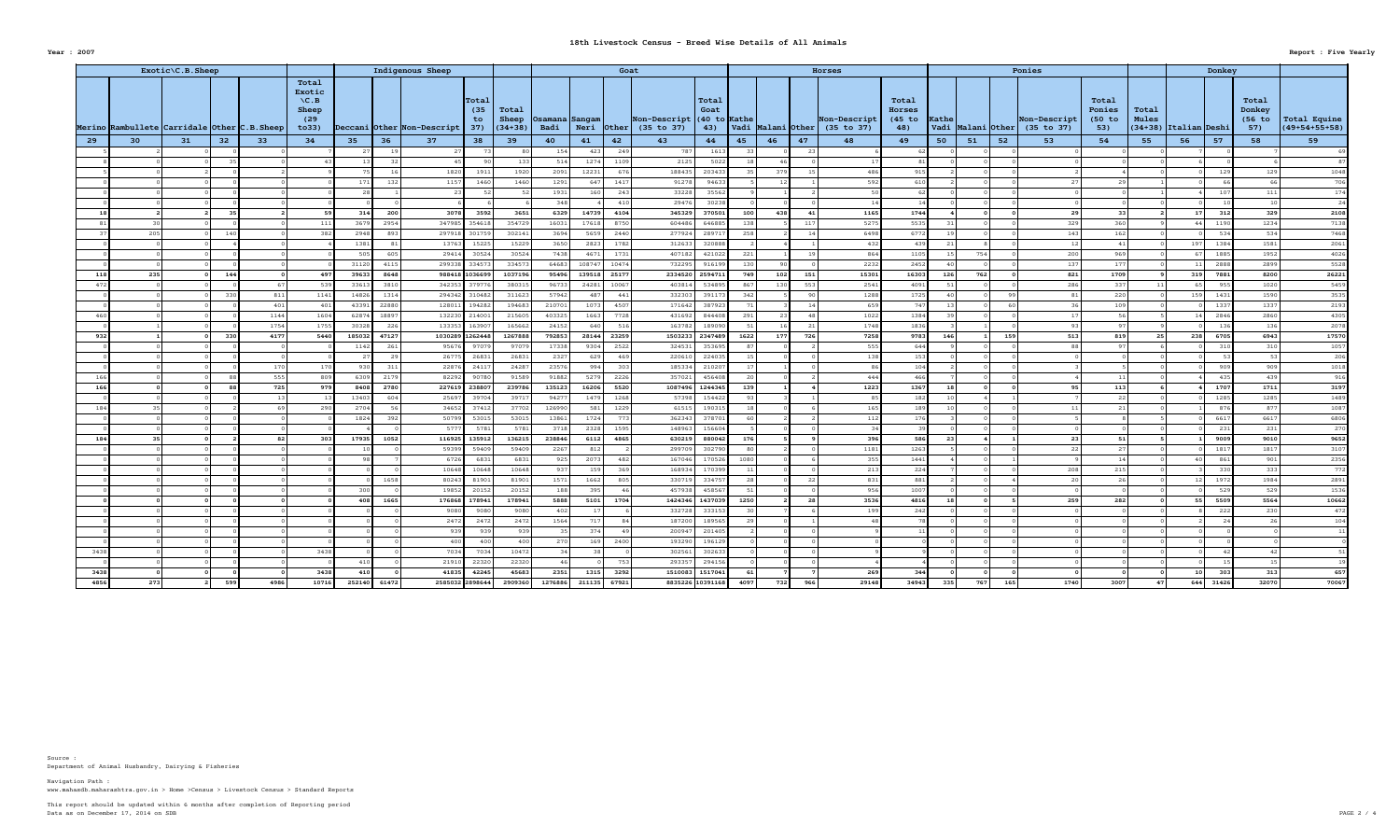Department of Animal Husbandry, Dairying & Fisheries Source :

|            | Exotic\C.B.Sheep<br><b>Indigenous Sheep</b>                         |    |       |      |                                                                        |                |                 |                                 |                                                            |                        |                 | Goat           |                                           |                                                 |                 |                       |            | <b>Horses</b>              |                                           |                 |                       |     | Ponies                     |                                  |                                      |                           | Donkey      |                                  |                                 |
|------------|---------------------------------------------------------------------|----|-------|------|------------------------------------------------------------------------|----------------|-----------------|---------------------------------|------------------------------------------------------------|------------------------|-----------------|----------------|-------------------------------------------|-------------------------------------------------|-----------------|-----------------------|------------|----------------------------|-------------------------------------------|-----------------|-----------------------|-----|----------------------------|----------------------------------|--------------------------------------|---------------------------|-------------|----------------------------------|---------------------------------|
|            | Merino Rambullete $\vert$ Carridale $\vert$ Other $\vert$ C.B.Sheep |    |       |      | Total<br>Exotic<br>$\setminus C$ . B<br><b>Sheep</b><br>(29)<br>to 33) |                |                 | Deccani Other Non-Descript      | Total<br>(35)<br>Total<br>Sheep<br>to.<br>$(34+38)$<br>37) | Osamana Sangam<br>Badi |                 |                | Non-Descript<br>Neri $ 0$ ther (35 to 37) | $\mid$ Total<br>Goat<br>$(40 to  $ Kathe<br>43) |                 | Vadi   Malani   Other |            | Non-Descript<br>(35 to 37) | Total<br><b>Horses</b><br>$(45$ to<br>48) | <b>Kathe</b>    | Vadi   Malani   Other |     | Non-Descript<br>(35 to 37) | Total<br>Ponies<br>(50 to<br>53) | Total<br><b>Mules</b><br>$ (34+38) $ | $ $ Italian $ $ Deshi $ $ |             | Total<br>Donkey<br>(56 to<br>57) | Total Equine<br>$(49+54+55+58)$ |
| 29         | 30                                                                  | 31 | 32    | 33   | 34                                                                     | 35             | 36              | 37                              | 38<br>39                                                   | 40                     | 41              | 42             | 43                                        | 44                                              | 45              | 46                    | 47         | 48                         | 49                                        | 50              | 51                    | 52  | 53                         | 54                               | 55                                   | 56                        | 57          | 58                               | 59                              |
|            |                                                                     |    |       |      |                                                                        |                |                 |                                 |                                                            | 154                    | 42.             | 249            | 787                                       | 1613                                            |                 |                       |            |                            |                                           |                 |                       |     |                            |                                  |                                      |                           |             |                                  |                                 |
|            |                                                                     |    |       |      |                                                                        |                |                 |                                 | 133                                                        | 514                    | 1274            | 1109           | 2125                                      | 5022                                            |                 |                       |            |                            |                                           |                 |                       |     |                            |                                  |                                      |                           |             |                                  |                                 |
|            |                                                                     |    |       |      |                                                                        |                | 75              | 1820                            | 1920<br>1911                                               | 2091                   | 12231           | 676            | 18843                                     | 203433                                          |                 | 379                   |            | 486                        | 915                                       |                 |                       |     |                            |                                  |                                      |                           | 129         | 129                              | 1048                            |
|            |                                                                     |    |       |      |                                                                        |                | 171             | 1157                            | 1460<br>1460                                               | 1291                   |                 | 1417           | 91278                                     | 94633                                           |                 |                       |            | 592                        | 610                                       |                 |                       |     |                            |                                  |                                      |                           |             |                                  | 706                             |
|            |                                                                     |    |       |      |                                                                        |                | 28              | 23                              |                                                            | 1931                   | 160             | 243            | 33228                                     | 35562                                           |                 |                       |            |                            | 62 l                                      |                 |                       |     |                            |                                  |                                      |                           | 107         | 111                              | 174                             |
|            |                                                                     |    |       |      |                                                                        |                |                 |                                 |                                                            | 348                    |                 | 410            | 29476                                     | 30238                                           |                 |                       |            |                            |                                           |                 |                       |     |                            |                                  |                                      |                           |             |                                  | 24                              |
|            |                                                                     |    | -35 L |      |                                                                        |                | 314<br>20       | 3078                            | 3592<br>3651                                               | 6329                   | 14739           | 4104           | 345329                                    | 370501                                          | 100             | 438                   | 41         | 1165                       | 1744                                      |                 |                       |     |                            |                                  |                                      |                           | 312         | 329                              | 2108                            |
|            |                                                                     |    |       |      | 111                                                                    | 3679           | 2954            | 347985 354618                   | 354729                                                     | 16031                  | 17618           | 8750           | 604486                                    | 646885                                          | 138             |                       | 117        | 5275                       | 5535                                      |                 |                       |     | 329                        | 360                              |                                      |                           | 1190        | 1234                             | 7138                            |
|            | 205                                                                 |    | 140   |      |                                                                        | 2948           |                 | 297918                          | 301759<br>302141                                           | 3694                   | 5659            | 2440           | 277924                                    | 28971                                           | 258             |                       |            | 6498                       | 6772                                      |                 |                       |     | 143                        |                                  |                                      |                           | 534         | 534                              | 7468                            |
|            |                                                                     |    |       |      |                                                                        | 1381           |                 | 13763                           | 15229<br>15225                                             | 3650                   | 2823            | 1782           | 312633                                    | 320888                                          |                 |                       |            | 432                        | 439                                       |                 |                       |     |                            |                                  |                                      |                           | 1384        | 1581                             | 2061                            |
|            |                                                                     |    |       |      |                                                                        |                | 505             | 29414                           | 30524<br>30524                                             | 7438                   | 4671            | 1731           | 407182                                    | 421022                                          | 221             |                       |            | 864                        | 1105                                      |                 | 754                   |     | 200                        | 969                              |                                      |                           | 1885        | 1952                             | 4026                            |
|            |                                                                     |    |       |      |                                                                        | 31120          | 411             | 299338 33457                    | 334573                                                     | 64683                  | 108747          | 10474          | 732295                                    | 916199                                          |                 |                       |            | 2232                       | 2452                                      |                 |                       |     | 137                        | 177                              |                                      |                           | 2888        | 2899                             | 5528                            |
| 118<br>472 | 235                                                                 |    | 144   |      | 497<br>-539                                                            | 39633<br>33613 | 8648<br>381     | 988418 1036699<br>342353 379776 | 1037196<br>380315                                          | 95496<br>96733         | 139518<br>24281 | 25177<br>10067 | 2334520<br>403814                         | 2594711<br>534895                               | 749<br>867      | 102<br>130            | 151<br>553 | 15301<br>2541              | 16303<br>4091                             | 126             | 762                   |     | 821<br>286                 | 1709<br>337                      |                                      | 319                       | 7881<br>955 | 8200<br>1020                     | 26221<br>5459                   |
|            |                                                                     |    | 330   | 811  |                                                                        | 14826          | 1314            | 294342 310482                   | 311623                                                     | 57942                  | 487             | 441            | 332303                                    | 391173                                          | 342             |                       |            | 1288                       | 1725                                      |                 |                       |     |                            | 220                              |                                      |                           | 1431        | 1590                             | 3535                            |
|            |                                                                     |    |       | 401  | 1141<br>401                                                            | 43391          | 2288            | 128011                          | 194683<br>194282                                           | 210701                 | 1073            | 4507           | 171642                                    | 387923                                          |                 |                       |            | 659                        | 747                                       |                 |                       |     |                            | 109                              |                                      |                           | 1337        | 1337                             | 2193                            |
| 461        |                                                                     |    |       | 1144 | 1604                                                                   | 62874          | 1889            | 132230 214001                   | 215605                                                     | 403325                 | 1663            | 7728           | 431692                                    | 844408                                          | 291             |                       |            | 1022                       | 1384                                      |                 |                       |     |                            |                                  |                                      |                           | 2846        | 2860                             | 4305                            |
|            |                                                                     |    |       | 1754 | 1755                                                                   | 30328          | -22             | 133353 163907                   | 165662                                                     | 24152                  | 640             | 516            | 163782                                    | 189090                                          | 51              |                       |            | 1748                       | 1836                                      |                 |                       |     |                            |                                  |                                      |                           | 136         | 136                              | 2078                            |
| 932        |                                                                     |    | 330   | 4177 | 5440                                                                   | 185032         | 4712            | 1030289 1262448                 | 1267888                                                    | 792853                 | 28144           | 23259          | 1503233                                   | 2347489                                         | 1622            | 177                   | 726        | 7258                       | 9783                                      | 146             |                       | 159 | 513                        | 819                              |                                      | 238                       | 6705        | 6943                             | 17570                           |
|            |                                                                     |    |       |      |                                                                        | 1142           |                 | 95676                           | 97079<br>97079                                             | 17338                  | 9304            | 2522           | 324531                                    | 353695                                          |                 |                       |            | 555                        | 644                                       |                 |                       |     |                            |                                  |                                      |                           | 31(         | 310                              | 1057                            |
|            |                                                                     |    |       |      |                                                                        |                |                 | 26775                           | 26831<br>26831                                             | 2327                   | 629             | 469            | 220610                                    | 224035                                          |                 |                       |            | 138                        | 153                                       |                 |                       |     |                            |                                  |                                      |                           |             |                                  | 206                             |
|            |                                                                     |    |       | 170  | 170                                                                    |                | 930<br>31       | 22876                           | 24287<br>24117                                             | 23576                  | 994             | 303            | 185334                                    | 210207                                          | 17 <sup>1</sup> |                       |            |                            | 104                                       |                 |                       |     |                            |                                  |                                      |                           | 909         | 909                              | 1018                            |
| 166        |                                                                     |    |       | 555  | 809                                                                    | 6309           | 217             | 82292                           | 90780<br>91589                                             | 91882                  | 5279            | 2226           | 357021                                    | 456408                                          |                 |                       |            | 444                        | 466                                       |                 |                       |     |                            |                                  |                                      |                           | 435         | 439                              | 916                             |
| 166        |                                                                     |    | 88    | 725  | 979                                                                    | 8408           | 2780            | 227619 238807                   | 239786                                                     | 135123                 | 16206           | 5520           |                                           | 1087496 1244345                                 | 139             |                       |            | 1223                       | 1367                                      |                 |                       |     | 95                         | 113                              |                                      |                           | 1707        | 1711                             | 3197                            |
|            |                                                                     |    |       | 13   |                                                                        | 13403          |                 | 25697                           | 39704<br>39717                                             | 94277                  | 1479            | 1268           | 57398                                     | 154422                                          |                 |                       |            | 85                         | 182                                       | 10 <sup>1</sup> |                       |     |                            |                                  |                                      |                           | 1285        | 1285                             | 1489                            |
| 184        |                                                                     |    |       | 69   | 290                                                                    | 2704           |                 | 34652                           | 37412<br>37702                                             | 126990                 | 581             | 1229           | 61515                                     | 190315                                          | 18              |                       |            | 165                        | 189                                       |                 |                       |     |                            |                                  |                                      |                           | 876         | 877                              | 1087                            |
|            |                                                                     |    |       |      |                                                                        | 1824           |                 | 50799                           | 53015<br>53015                                             | 13861                  | 1724            | 773            | 362343                                    | 378701                                          |                 |                       |            | 112                        | 176                                       |                 |                       |     |                            |                                  |                                      |                           | 6617        | 6617                             | 6806                            |
|            |                                                                     |    |       |      |                                                                        |                |                 | 5777                            | 5781<br>5781                                               | 3718                   | 2328            | 1595           | 148963                                    | 156604                                          |                 |                       |            | 34                         | 39                                        |                 |                       |     |                            |                                  |                                      |                           | 231         | 231                              | 270                             |
| 184        |                                                                     |    |       | 82   | 303                                                                    | 17935          | 1052            | 116925 135912                   | 136215                                                     | 238846                 | 6112            | 4865           | 630219                                    | 880042                                          | 176             |                       |            | 396                        | 586                                       | -23             |                       |     | -23                        |                                  |                                      |                           | 9009        | 9010                             | 9652                            |
|            |                                                                     |    |       |      |                                                                        |                | 10 <sup>1</sup> | 59399                           | 59409<br>59409                                             | 2267                   | 812             |                | 299709                                    | 302790                                          | -80 l           |                       |            | 1181                       | 1263                                      |                 |                       |     |                            |                                  |                                      |                           | 1817        | 1817                             | 3107                            |
|            |                                                                     |    |       |      |                                                                        |                | 98              | 6726                            | 6831<br>6831                                               | 925                    | 2073            | 482            | 167046                                    | 170526                                          | 1080            |                       |            | 355                        | 1441                                      |                 |                       |     |                            |                                  |                                      |                           | 861         | 901                              | 2356                            |
|            |                                                                     |    |       |      |                                                                        |                |                 | 10648                           | 10648<br>10648                                             | 937                    | 159             | 369            | 168934                                    | 170399                                          | 11              |                       |            | 213                        | 224                                       |                 |                       |     | 208                        | 215                              |                                      |                           | 330         | 333                              | 772                             |
|            |                                                                     |    |       |      |                                                                        |                | 1658            | 80243                           | 81901<br>81901                                             | 1571                   | 1662            | 805            | 330719                                    | 334757                                          | 28              |                       | -22        | 831                        | 881                                       |                 |                       |     |                            |                                  |                                      |                           | 1972        | 1984                             | 2891                            |
|            |                                                                     |    |       |      |                                                                        | 300            |                 | 19852                           | 20152<br>20152                                             | 188                    | 395             |                | 457938                                    | 458567                                          |                 |                       |            | 956                        | 1007                                      |                 |                       |     |                            |                                  |                                      |                           | 529         | 529                              | 1536                            |
|            |                                                                     |    |       |      |                                                                        |                | 1665<br>408     | 176868 178941                   | 178941                                                     | 5888                   | 5101            | 1704           |                                           | 1424346 1437039                                 | 1250            |                       | - 28 I     | 3536                       | 4816                                      | 18 I            |                       |     | 259                        | 282                              |                                      |                           | 5509        | 5564                             | 10662                           |
|            |                                                                     |    |       |      |                                                                        |                |                 | 9080                            | 9080<br>9080                                               | 402                    |                 |                | 332728                                    | 333153                                          | 30              |                       |            | 199                        | 242                                       |                 |                       |     |                            |                                  |                                      |                           | 222         | 230                              | 472                             |
|            |                                                                     |    |       |      |                                                                        |                |                 | 2472                            | 2472<br>2472                                               | 1564                   | 717             |                | 187200                                    | 189565                                          |                 |                       |            |                            | 78                                        |                 |                       |     |                            |                                  |                                      |                           |             |                                  | 104                             |
|            |                                                                     |    |       |      |                                                                        |                |                 | 939                             | 939<br>939                                                 |                        | 374             |                | 200947                                    | 201405                                          |                 |                       |            |                            |                                           |                 |                       |     |                            |                                  |                                      |                           |             |                                  |                                 |
|            |                                                                     |    |       |      |                                                                        |                |                 | 400                             | 400<br>400                                                 | 270                    | 169             | 2400           | 193290                                    | 196129                                          |                 |                       |            |                            |                                           |                 |                       |     |                            |                                  |                                      |                           |             |                                  |                                 |
| 3438       |                                                                     |    |       |      | 3438                                                                   |                |                 | 7034                            | 7034<br>10472                                              |                        |                 |                | 302561                                    | 302633                                          |                 |                       |            |                            |                                           |                 |                       |     |                            |                                  |                                      |                           |             |                                  |                                 |
|            |                                                                     |    |       |      |                                                                        |                | 410             | 21910                           | 22320<br>22320                                             | 46                     |                 | 753            | 293357                                    | 294156                                          |                 |                       |            |                            |                                           |                 |                       |     |                            |                                  |                                      |                           |             | 15                               |                                 |
| 3438       |                                                                     |    |       |      | 3438                                                                   |                | 410             | 41835 42245                     | 45683                                                      | 2351                   | 1315            | 3292           |                                           | 1510083 1517041                                 | 61              |                       |            | -269                       | 344                                       |                 |                       |     |                            |                                  |                                      |                           | 303         | 313                              | 657                             |
| 4856       | 273                                                                 |    | 599   | 4986 | 10716                                                                  |                | 252140 61472    | 2585032 2898644                 | 2909360                                                    | 1276886                | 211135          | 67921          |                                           | 8835226 10391168                                | 4097            | 732                   | 966        | 29148                      | 34943                                     | 335             | 767                   | 165 | 1740                       | 3007                             |                                      | 644                       | 31426       | 32070                            | 70067                           |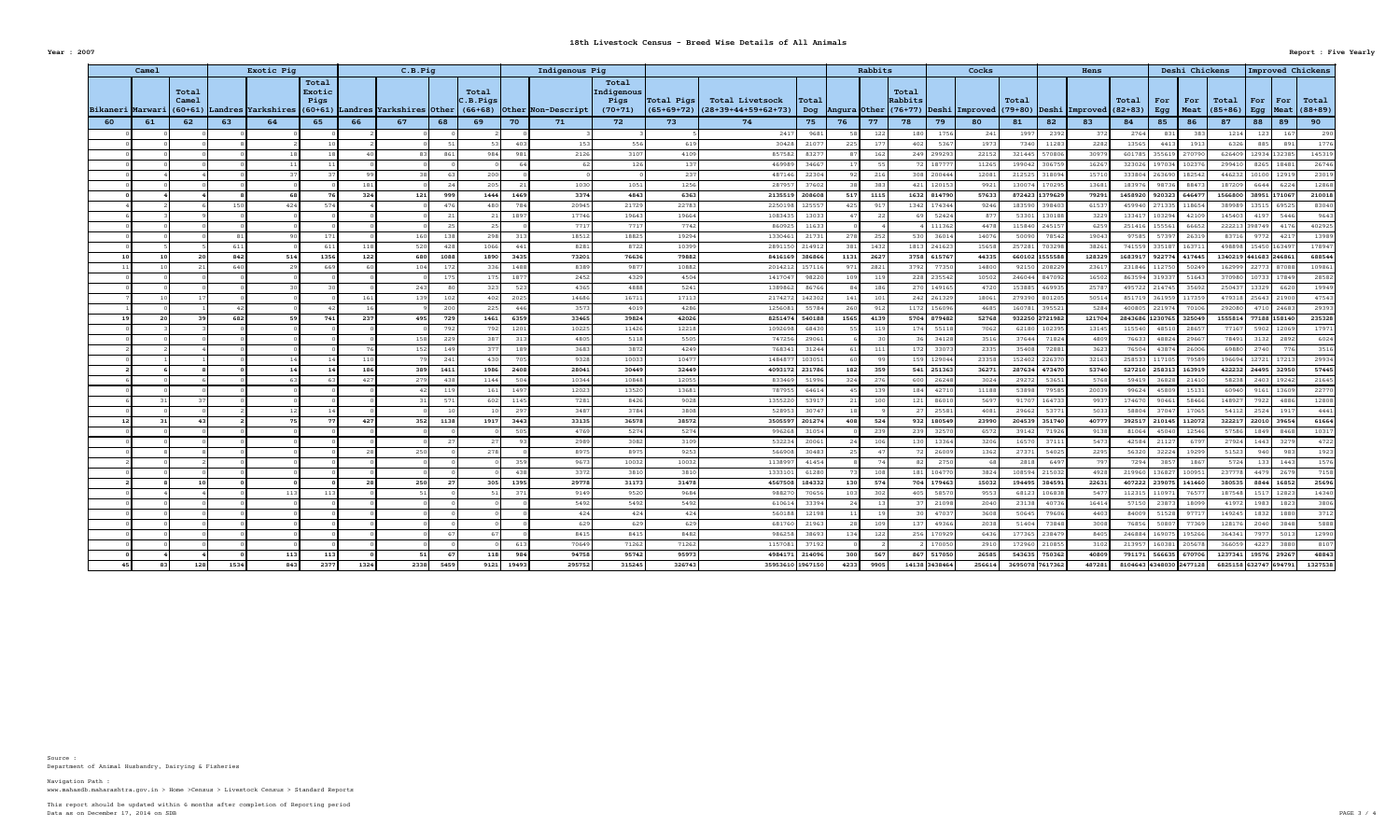Department of Animal Husbandry, Dairying & Fisheries Source :

|    | Camel            | Exotic Pig                  |      |                    |                         |      | C.B.Pig                               |      |                                 |       | Indigenous Pig     |                                          |                       |                                                            |                       |       | Rabbits         |                  |                 | Cocks                                                                                                                                      |                        |                | Hens         |                  |                         | Deshi Chickens |                                                            |              |                    | Improved Chickens |
|----|------------------|-----------------------------|------|--------------------|-------------------------|------|---------------------------------------|------|---------------------------------|-------|--------------------|------------------------------------------|-----------------------|------------------------------------------------------------|-----------------------|-------|-----------------|------------------|-----------------|--------------------------------------------------------------------------------------------------------------------------------------------|------------------------|----------------|--------------|------------------|-------------------------|----------------|------------------------------------------------------------|--------------|--------------------|-------------------|
|    | Bikaneri Marwari | Total<br>Camel<br>$(60+61)$ |      | Landres Yarkshires | Total<br>Exotic<br>Pigs |      | $(60+61)$  Landres  Yarkshires  Other |      | Total<br> C.B.Pigs<br>$(66+68)$ |       | Other Non-Descript | Total<br>Indigenous<br>Pigs<br>$(70+71)$ | $ Total \text{Pigs} $ | <b>Total Livetsock</b><br> (65+69+72)  (28+39+44+59+62+73) | $ {\tt Total}$<br>Dog |       |                 | Total<br>Rabbits |                 | $\vert$ Angura $\vert$ Other $\vert$ (76+77) $\vert$ Deshi $\vert$ Improved $\vert$ (79+80) $\vert$ Deshi $\vert$ Improved $\vert$ (82+83) | Total                  |                |              | Total            | For<br>Egg              | For            | $\vert$ Total<br>  Meat $ (85+86) $ Egg   Meat $ (88+89) $ | $ $ For      |                    | For   Total       |
| 60 | 61               | 62                          | 63   | 64                 | 65                      | 66   | 67                                    | 68   | 69                              | 70    | 71                 | 72                                       | 73                    | 74                                                         | 75                    | 76    | 77              | 78               | 79              | 80                                                                                                                                         | 81                     | 82             | 83           | 84               | 85                      | 86             | 87                                                         | 88           | 89                 | 90                |
|    |                  |                             |      |                    |                         |      |                                       |      |                                 |       |                    |                                          |                       | 2417                                                       | 9681                  |       | 122             | 180              | 1756            | 241                                                                                                                                        | 1997                   | 2392           |              | 2764             | 831                     |                |                                                            |              |                    | 290               |
|    |                  |                             |      |                    |                         |      |                                       |      |                                 | 403   | 153                |                                          | 619                   | 30428                                                      | 2107                  |       | 177             | 402              | 5367            | 1973                                                                                                                                       | 7340                   | 11283          | 2282         | 13565            | 4413                    | 1913           | 6326                                                       | 885          | 891                | 1776              |
|    |                  |                             |      |                    |                         |      |                                       |      | 984                             | 981   | 2126               | 3107                                     | 4109                  | 857582                                                     | 8327                  |       | 162             |                  | 249 299293      | 22152                                                                                                                                      | 321445                 | 570806         | 30979        | 601785           |                         | 355619 270790  | 626409                                                     | 12934        | 132385             | 145319            |
|    |                  |                             |      |                    |                         |      |                                       |      |                                 |       |                    | 126                                      | 137                   | 469989                                                     | 34667                 |       |                 |                  | 72 18777        | 11265                                                                                                                                      |                        | 199042 306759  | 16267        | 323026           |                         | 197034 102376  | 299410                                                     | 8265         | 18481              | 26746             |
|    |                  |                             |      |                    |                         |      |                                       |      | 200                             |       |                    |                                          | 237                   | 487146                                                     | 22304                 |       | 216             |                  | 308 200444      | 12081                                                                                                                                      | 212525 318094          |                | 15710        | 333804           | $\mid$ 263690 182542    |                | 446232                                                     | 10100        | 12919              | 23019             |
|    |                  |                             |      |                    |                         |      |                                       |      | 205                             |       | 1030               | 1051                                     | 1256                  | 287957                                                     | 37602                 |       | 383             |                  | 421 120153      | 9921                                                                                                                                       |                        | 130074 170295  | 13681        | 183976           | 98736                   | 8847           | 187209                                                     | 6644         | 6224               | 12868             |
|    |                  |                             |      | 68 <sup>1</sup>    |                         | 324  | 121                                   | 999  | 1444                            | 1469  | 3374               | 4843                                     | 6363                  | 2135519 208608                                             |                       | 517   | 1115            |                  | 1632 814790     | 57633                                                                                                                                      | 872423 1379629         |                | 79291        | 1458920          | 920323 646477           |                | 1566800 38951 171067                                       |              |                    | 210018            |
|    |                  |                             |      | 424                | 574                     |      |                                       |      | 480                             | 784   | 20945              | 21729                                    | 22783                 | 2250198 125557                                             |                       |       | 91'             |                  | 1342 174344     | 9246                                                                                                                                       | 183590 398403          |                | 61537        | 459940           | 271335                  | 118654         | 389989                                                     | 13515        | 69525              | 83040             |
|    |                  |                             |      |                    |                         |      |                                       |      | 25                              | 1897  | 17746<br>7717      | 19643<br>7717                            | 19664<br>7742         | 1083435<br>860925                                          | 13033<br>11633        |       |                 |                  | 52424<br>111362 | 877<br>4478                                                                                                                                | 53301<br>115840 245157 | 130188         | 3229<br>6259 | 133417<br>251416 | 103294<br>155561        | 42109<br>66652 | 145403<br>222213 398749                                    | 4197         | 5446<br>4176       | 9643<br>402925    |
|    |                  |                             |      |                    | 171                     |      | 160                                   |      | 298                             | 313   | 18512              | 18825                                    | 19294                 | 1330461                                                    | 21731                 | 278 l | 252             | 530              | 36014           | 14076                                                                                                                                      | 50090                  | 78542          | 19043        | 97585            | 57397                   | 26319          | 83716                                                      | 9772         | 4217               | 13989             |
|    |                  |                             |      |                    | 611                     |      | 520                                   |      | 1066                            | 441   | 8281               | 8722                                     | 10399                 | 2891150 214912                                             |                       |       | 1432            |                  | 1813 241623     | 15658                                                                                                                                      | 257281 703298          |                | 38261        | 741559           | 335187                  | 16371          | 498898 15450                                               |              | 163497             | 178947            |
| 10 |                  |                             | 842  | 514                | 1356                    | 122  | 680                                   | 1088 | 1890                            | 3435  | 73201              | 76636                                    | 79882                 | 8416169 386866                                             |                       | 1131  | 2627            |                  | 3758 615767     | 44335                                                                                                                                      |                        | 660102 1555588 | 128329       |                  | 1683917 922774 417445   |                | 1340219 441683 246861                                      |              |                    | 688544            |
|    |                  |                             | 640  |                    | 669                     |      | 104                                   |      | 336                             | 1488  | 8389               | 9877                                     | 10882                 | 2014212 157116                                             |                       | 971   | 2821            |                  | 3792 77350      | 14800                                                                                                                                      |                        | 92150 208229   | 23617        | 231846           | 112750                  | 50249          |                                                            | 162999 22773 | 87088              | 109861            |
|    |                  |                             |      |                    |                         |      |                                       |      | 175                             | 1877  | 2452               | 4329                                     | 4504                  | 1417047                                                    | 98220                 |       | 11 <sup>c</sup> |                  | 228 235542      | 10502                                                                                                                                      | 246044 847092          |                | 16502        | 863594           | 319337                  | 51643          | 370980 10733                                               |              | 17849              | 28582             |
|    |                  |                             |      |                    |                         |      | 243                                   |      | 323                             | 523   | 4365               | 4888                                     | 5241                  | 1389862                                                    | 86766                 |       | 186             |                  | 270 149165      | 4720                                                                                                                                       | 153885 469935          |                | 25787        | 495722           | 214745                  | 35692          | 250437                                                     | 13329        | 6620               | 19949             |
|    |                  |                             |      |                    |                         |      | 139                                   |      | 402                             | 2025  | 14686              | 16711                                    | 17113                 | 2174272                                                    | 142302                | 141   | 101             |                  | 242 261329      | 18061                                                                                                                                      |                        | 279390 801205  | 50514        | 851719           |                         | 361959 117359  |                                                            | 479318 25643 | 21900              | 47543             |
|    |                  |                             |      |                    |                         |      |                                       |      | 225                             | 446   | 3573               | 4019                                     | 4286                  | 1256081                                                    | 55784                 | 260 l | - 912           |                  | 1172 156096     | 4685                                                                                                                                       | 160781 395521          |                | 5284         | 400805           | 221974                  | 70106          | 292080                                                     | 4710         | 24683              | 29393             |
|    |                  |                             | 682  |                    | 741                     | 237  | 495                                   | 729  | 1461                            | 6359  | 33465              | 39824                                    | 42026                 | 8251474 540188                                             |                       | 1565  | 4139            |                  | 5704 879482     | 52768                                                                                                                                      |                        | 932250 2721982 | 121704       |                  | 2843686 1230765 325049  |                | 1555814                                                    |              | 77188 158140       | 235328            |
|    |                  |                             |      |                    |                         |      |                                       |      | 792                             | 1201  | 10225              | 11426                                    | 12218                 | 1092698                                                    | 68430                 |       | 119             | 174              | 55118           | 7062                                                                                                                                       |                        | 62180 102395   | 13145        | 115540           | 48510                   | 28657          | 77167                                                      | 5902         | 12069              | 17971             |
|    |                  |                             |      |                    |                         |      | 158                                   |      | 387                             | 313   | 4805               | 5118                                     | 5505                  | 747256                                                     | 29061                 |       |                 |                  | 34128           | 3516                                                                                                                                       | 37644                  | 71824          | 4809         | 7663             | 48824                   | 29667          | 78491                                                      | 3132         | 2892               | 6024              |
|    |                  |                             |      |                    |                         |      | 152                                   | 149  | 377                             | 189   | 3683               | 3872                                     | 4249                  | 768341                                                     | 31244                 |       | 111             | 172              | 33073           | 2335                                                                                                                                       | 35408                  | 72881          | 3623         | 76504            | 43874                   | 26006          | 69880                                                      | 2740         | 776                | 3516              |
|    |                  |                             |      |                    |                         |      |                                       |      | 430                             | 705   | 9328               | 10033                                    | 10477                 | 1484877                                                    | 103051                |       |                 |                  | 159 129044      | 23358                                                                                                                                      | 152402 226370          |                | 32163        | 258533           |                         | 117105 79589   | 196694                                                     | 12721        | 17213              | 29934             |
|    |                  |                             |      | 14                 |                         | 186  | 389                                   | 1411 | 1986                            | 2408  | 28041              | 30449                                    | 32449                 | 4093172 231786                                             |                       | 182   | 359             |                  | $541$ 251363    | 36271                                                                                                                                      |                        | 287634 473470  | 53740        |                  | 527210 258313 163919    |                |                                                            |              | 422232 24495 32950 | 57445             |
|    |                  |                             |      |                    |                         | 427  | 279                                   |      | 1144                            | 504   | 10344              | 10848                                    | 12055                 | 833469                                                     | 51996                 | 324   | 276             | 600              | 26248           | 3024                                                                                                                                       | 29272                  | 53651          | 5768         | 59419            | 36828                   | 21410          |                                                            | 58238 2403   | 19242              | 21645             |
|    |                  |                             |      |                    |                         |      | 42 I                                  |      | 161                             | 1497  | 12023              | 13520                                    | 13681                 |                                                            | 787955 64614          |       | 139             | 184              | 42710           | 11188                                                                                                                                      |                        | 53898 79585    | 20039        | 99624            |                         | 45809 15131    | 60940                                                      | 9161         | 13609              | 22770             |
|    |                  |                             |      |                    |                         |      |                                       | 571  | 602                             | 1145  | 7281               | 8426                                     | 9028                  | 1355220                                                    | 53917                 |       | 100             | 121              | 86010           | 5697                                                                                                                                       |                        | 91707 164733   | 9937         | 174670           | 90461                   | 58466          | 148927                                                     | 7922         | 4886               | 12808             |
|    |                  |                             |      | 12                 |                         |      |                                       |      | 10 <sup>1</sup>                 | 297   | 3487               | 3784                                     | 3808                  | 528953                                                     | 30747                 |       |                 | 27 <sub>1</sub>  | 25581           | 4081                                                                                                                                       | 29662                  | 53771          | 5033         | 58804            |                         | 37047 17065    | 54112                                                      | 2524         | 1917               | 4441              |
| 12 |                  | 43                          |      |                    |                         | 427  | 352                                   | 1138 | 1917                            | 3443  | 33135              | 36578                                    | 38572                 | $3505597$ 201274                                           |                       | 408 L | 524             |                  | 932 180549      | 23990                                                                                                                                      |                        | 204539 351740  | 40777        |                  | 392517 210145 112072    |                |                                                            | 322217 22010 | 39654              | 61664             |
|    |                  |                             |      |                    |                         |      |                                       |      |                                 | 505   | 4769               | 5274<br>3082                             | 5274<br>3109          | 996268<br>532234                                           | 31054<br>20061        |       | 239<br>106      | 239              | 32570<br>13364  | 6572<br>3206                                                                                                                               | 39142<br>16570         | 71926<br>37111 | 9138<br>5473 | 81064<br>42584   | 45040<br>21127          | 12546<br>6797  | 57586<br>27924                                             | 1849<br>1443 | 8468<br>3279       | 10317<br>4722     |
|    |                  |                             |      |                    |                         |      | 250                                   |      | 27<br>278                       |       | 2989<br>8975       | 8975                                     | 9253                  | 566908                                                     | 30483                 |       |                 | 130              | 26009           | 1362                                                                                                                                       | 27371                  | 54025          | 2295         | 56320            |                         | 32224 19299    | 51523                                                      | 940          | 983                | 1923              |
|    |                  |                             |      |                    |                         |      |                                       |      |                                 | 359   | 9673               | 10032                                    | 10032                 | 1138997                                                    | 41454                 |       |                 | 82               | 2750            | 68                                                                                                                                         | 2818                   | 6497           | 797          | 7294             | 3857                    | 1867           | 5724                                                       | - 133        | 1443               | 1576              |
|    |                  |                             |      |                    |                         |      |                                       |      |                                 | 438   | 3372               | 3810                                     | 3810                  | 1333101                                                    | 61280                 |       | 108             |                  | 181 104770      | 3824                                                                                                                                       | 108594 215032          |                | 4928         | 219960           | 136827                  | 100951         | 237778                                                     | 4479         | 2679               | 7158              |
|    |                  | 10                          |      |                    |                         |      | 250                                   |      | 305                             | 1395  | 29778              | 31173                                    | 31478                 | 4567508 184332                                             |                       | 130   | 574             |                  | 704 179463      | 15032                                                                                                                                      | 194495 384591          |                | 22631        |                  | 407222 239075 141460    |                | 380535                                                     | 8844         | 16852              | 25696             |
|    |                  |                             |      | 113                | 113                     |      | 51                                    |      |                                 | 371   | 9149               | 9520                                     | 9684                  | 988270                                                     | 70656                 | 103   | 302             | 405              | 58570           | 9553                                                                                                                                       |                        | 68123 106838   | 5477         | 112315           | 110971                  | 76577          | 187548                                                     | 1517         | 12823              | 14340             |
|    |                  |                             |      |                    |                         |      |                                       |      |                                 |       | 5492               | 5492                                     | 5492                  | 610614                                                     | 33394                 |       |                 |                  | 21098           | 2040                                                                                                                                       | 23138                  | 40736          | 16414        | 57150            | 23873                   | 18099          | 41972                                                      | 1983         | 1823               | 3806              |
|    |                  |                             |      |                    |                         |      |                                       |      |                                 |       | 424                | 424                                      | 424                   | 560188                                                     | 12198                 |       |                 |                  | 47037           | 3608                                                                                                                                       | 50645                  | 79606          | 4403         | 84009            | 51528                   | 97717          | 149245                                                     | 1832         | 1880               | 3712              |
|    |                  |                             |      |                    |                         |      |                                       |      |                                 |       | 629                | 629                                      | 629                   | 681760                                                     | 21963                 |       | 109             | 137              | 49366           | 2038                                                                                                                                       | 51404                  | 73848          | 3008         | 76856            | 50807                   | 77369          | 128176                                                     | 2040         | 3848               | 5888              |
|    |                  |                             |      |                    |                         |      |                                       |      |                                 |       | 8415               | 8415                                     | 8482                  | 986258                                                     | 38693                 | 134   | 122             |                  | 256 170929      | 6436                                                                                                                                       | 177365 238479          |                | 8405         | 246884           |                         | 169075 195266  | 364341                                                     | 7977         | 5013               | 12990             |
|    |                  |                             |      |                    |                         |      |                                       |      |                                 | 613   | 70649              | 71262                                    | 71262                 | 1157081                                                    | 37192                 |       |                 |                  | 170050          | 2910                                                                                                                                       | 172960 210855          |                | 3102         |                  | 213957 160381 205678    |                | 366059                                                     | 4227         | 3880               | 8107              |
|    |                  |                             |      | 113                | 113                     |      | 51                                    |      | 118                             | 984   | 94758              | 95742                                    | 95973                 | 4984171 214096                                             |                       | 300   | 567             |                  | 867 517050      | 26585                                                                                                                                      |                        | 543635 750362  | 40809        |                  | 791171 566635 670706    |                | 1237341 19576 29267                                        |              |                    | 48843             |
|    | 83               | 128                         | 1534 | 843                | 2377                    | 1324 | 2338                                  | 5459 | 9121                            | 19493 | 295752             | 315245                                   | 326743                | 35953610 1967150                                           |                       | 4233  | 9905            |                  | 14138 3438464   | 256614                                                                                                                                     | 3695078 7617362        |                | 487281       |                  | 8104643 4348030 2477128 |                | 6825158 632747 694791                                      |              |                    | 1327538           |